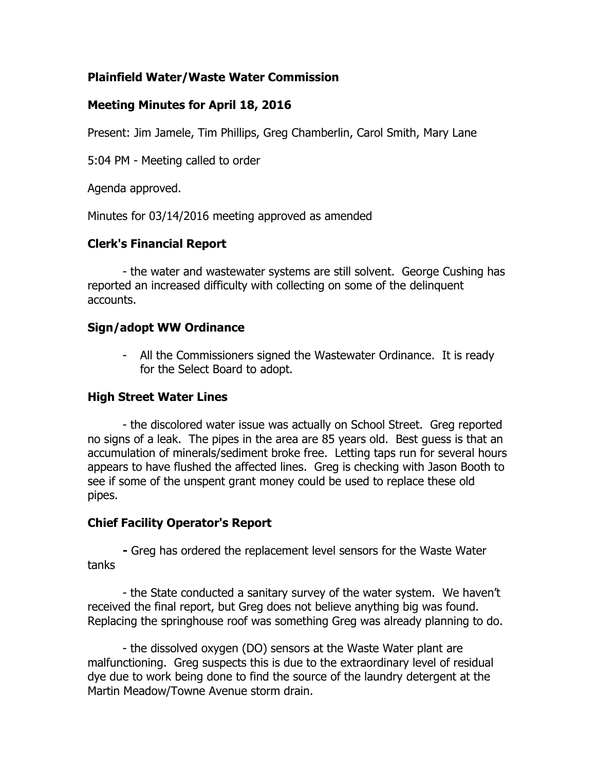## **Plainfield Water/Waste Water Commission**

## **Meeting Minutes for April 18, 2016**

Present: Jim Jamele, Tim Phillips, Greg Chamberlin, Carol Smith, Mary Lane

5:04 PM - Meeting called to order

Agenda approved.

Minutes for 03/14/2016 meeting approved as amended

## **Clerk's Financial Report**

- the water and wastewater systems are still solvent. George Cushing has reported an increased difficulty with collecting on some of the delinquent accounts.

### **Sign/adopt WW Ordinance**

- All the Commissioners signed the Wastewater Ordinance. It is ready for the Select Board to adopt.

# **High Street Water Lines**

- the discolored water issue was actually on School Street. Greg reported no signs of a leak. The pipes in the area are 85 years old. Best guess is that an accumulation of minerals/sediment broke free. Letting taps run for several hours appears to have flushed the affected lines. Greg is checking with Jason Booth to see if some of the unspent grant money could be used to replace these old pipes.

### **Chief Facility Operator's Report**

**-** Greg has ordered the replacement level sensors for the Waste Water tanks

- the State conducted a sanitary survey of the water system. We haven't received the final report, but Greg does not believe anything big was found. Replacing the springhouse roof was something Greg was already planning to do.

- the dissolved oxygen (DO) sensors at the Waste Water plant are malfunctioning. Greg suspects this is due to the extraordinary level of residual dye due to work being done to find the source of the laundry detergent at the Martin Meadow/Towne Avenue storm drain.